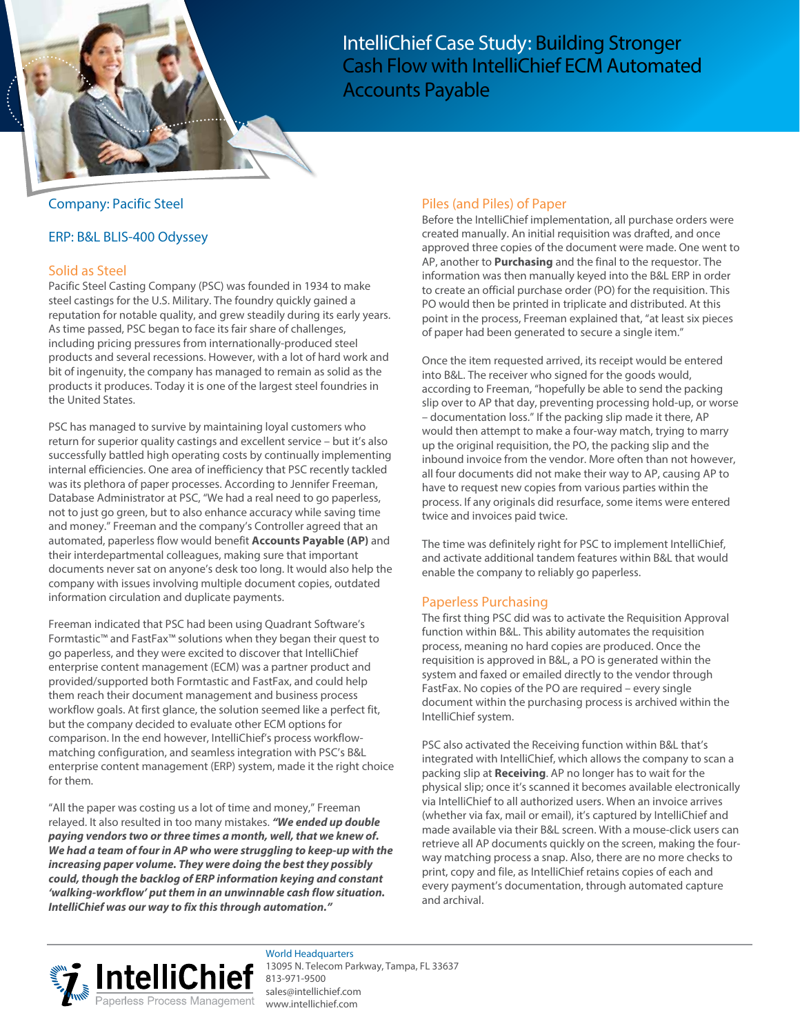

IntelliChief Case Study: Building Stronger Cash Flow with IntelliChief ECM Automated Accounts Payable

## Company: Pacific Steel

### ERP: B&L BLIS-400 Odyssey

### Solid as Steel

Pacific Steel Casting Company (PSC) was founded in 1934 to make steel castings for the U.S. Military. The foundry quickly gained a reputation for notable quality, and grew steadily during its early years. As time passed, PSC began to face its fair share of challenges, including pricing pressures from internationally-produced steel products and several recessions. However, with a lot of hard work and bit of ingenuity, the company has managed to remain as solid as the products it produces. Today it is one of the largest steel foundries in the United States.

PSC has managed to survive by maintaining loyal customers who return for superior quality castings and excellent service – but it's also successfully battled high operating costs by continually implementing internal efficiencies. One area of inefficiency that PSC recently tackled was its plethora of paper processes. According to Jennifer Freeman, Database Administrator at PSC, "We had a real need to go paperless, not to just go green, but to also enhance accuracy while saving time and money." Freeman and the company's Controller agreed that an automated, paperless flow would benefit **Accounts Payable (AP)** and their interdepartmental colleagues, making sure that important documents never sat on anyone's desk too long. It would also help the company with issues involving multiple document copies, outdated information circulation and duplicate payments.

Freeman indicated that PSC had been using Quadrant Software's Formtastic™ and FastFax™ solutions when they began their quest to go paperless, and they were excited to discover that IntelliChief enterprise content management (ECM) was a partner product and provided/supported both Formtastic and FastFax, and could help them reach their document management and business process workflow goals. At first glance, the solution seemed like a perfect fit, but the company decided to evaluate other ECM options for comparison. In the end however, IntelliChief's process workflowmatching configuration, and seamless integration with PSC's B&L enterprise content management (ERP) system, made it the right choice for them.

"All the paper was costing us a lot of time and money," Freeman relayed. It also resulted in too many mistakes. **"We ended up double paying vendors two or three times a month, well, that we knew of. We had a team of four in AP who were struggling to keep-up with the increasing paper volume. They were doing the best they possibly could, though the backlog of ERP information keying and constant 'walking-workflow' put them in an unwinnable cash flow situation. IntelliChief was our way to fix this through automation."**

# Piles (and Piles) of Paper

Before the IntelliChief implementation, all purchase orders were created manually. An initial requisition was drafted, and once approved three copies of the document were made. One went to AP, another to **Purchasing** and the final to the requestor. The information was then manually keyed into the B&L ERP in order to create an official purchase order (PO) for the requisition. This PO would then be printed in triplicate and distributed. At this point in the process, Freeman explained that, "at least six pieces of paper had been generated to secure a single item."

Once the item requested arrived, its receipt would be entered into B&L. The receiver who signed for the goods would, according to Freeman, "hopefully be able to send the packing slip over to AP that day, preventing processing hold-up, or worse – documentation loss." If the packing slip made it there, AP would then attempt to make a four-way match, trying to marry up the original requisition, the PO, the packing slip and the inbound invoice from the vendor. More often than not however, all four documents did not make their way to AP, causing AP to have to request new copies from various parties within the process. If any originals did resurface, some items were entered twice and invoices paid twice.

The time was definitely right for PSC to implement IntelliChief, and activate additional tandem features within B&L that would enable the company to reliably go paperless.

# Paperless Purchasing

The first thing PSC did was to activate the Requisition Approval function within B&L. This ability automates the requisition process, meaning no hard copies are produced. Once the requisition is approved in B&L, a PO is generated within the system and faxed or emailed directly to the vendor through FastFax. No copies of the PO are required – every single document within the purchasing process is archived within the IntelliChief system.

PSC also activated the Receiving function within B&L that's integrated with IntelliChief, which allows the company to scan a packing slip at **Receiving**. AP no longer has to wait for the physical slip; once it's scanned it becomes available electronically via IntelliChief to all authorized users. When an invoice arrives (whether via fax, mail or email), it's captured by IntelliChief and made available via their B&L screen. With a mouse-click users can retrieve all AP documents quickly on the screen, making the fourway matching process a snap. Also, there are no more checks to print, copy and file, as IntelliChief retains copies of each and every payment's documentation, through automated capture and archival.



World Headquarters 13095 N. Telecom Parkway, Tampa, FL 33637 813-971-9500 [sales@intellichief.com](mailto:sales@intellichief.com) [www.intelli](http://www.intellichief.com)chief.com